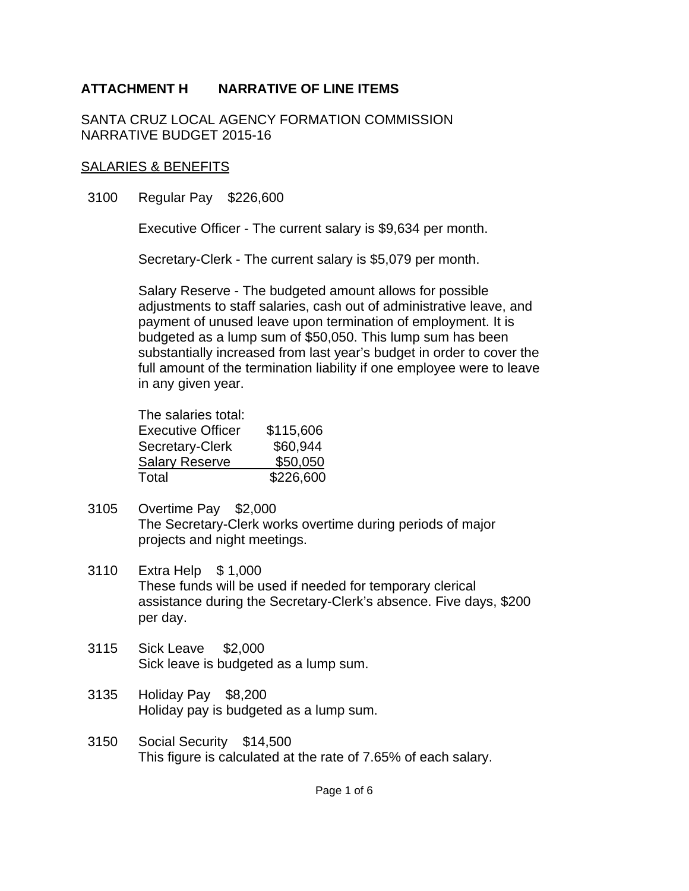SANTA CRUZ LOCAL AGENCY FORMATION COMMISSION NARRATIVE BUDGET 2015-16

#### SALARIES & BENEFITS

3100 Regular Pay \$226,600

Executive Officer - The current salary is \$9,634 per month.

Secretary-Clerk - The current salary is \$5,079 per month.

Salary Reserve - The budgeted amount allows for possible adjustments to staff salaries, cash out of administrative leave, and payment of unused leave upon termination of employment. It is budgeted as a lump sum of \$50,050. This lump sum has been substantially increased from last year's budget in order to cover the full amount of the termination liability if one employee were to leave in any given year.

| The salaries total:      |           |
|--------------------------|-----------|
| <b>Executive Officer</b> | \$115,606 |
| Secretary-Clerk          | \$60,944  |
| <b>Salary Reserve</b>    | \$50,050  |
| Total                    | \$226,600 |

- 3105 Overtime Pay \$2,000 The Secretary-Clerk works overtime during periods of major projects and night meetings.
- 3110 Extra Help \$ 1,000 These funds will be used if needed for temporary clerical assistance during the Secretary-Clerk's absence. Five days, \$200 per day.
- 3115 Sick Leave \$2,000 Sick leave is budgeted as a lump sum.
- 3135 Holiday Pay \$8,200 Holiday pay is budgeted as a lump sum.
- 3150 Social Security \$14,500 This figure is calculated at the rate of 7.65% of each salary.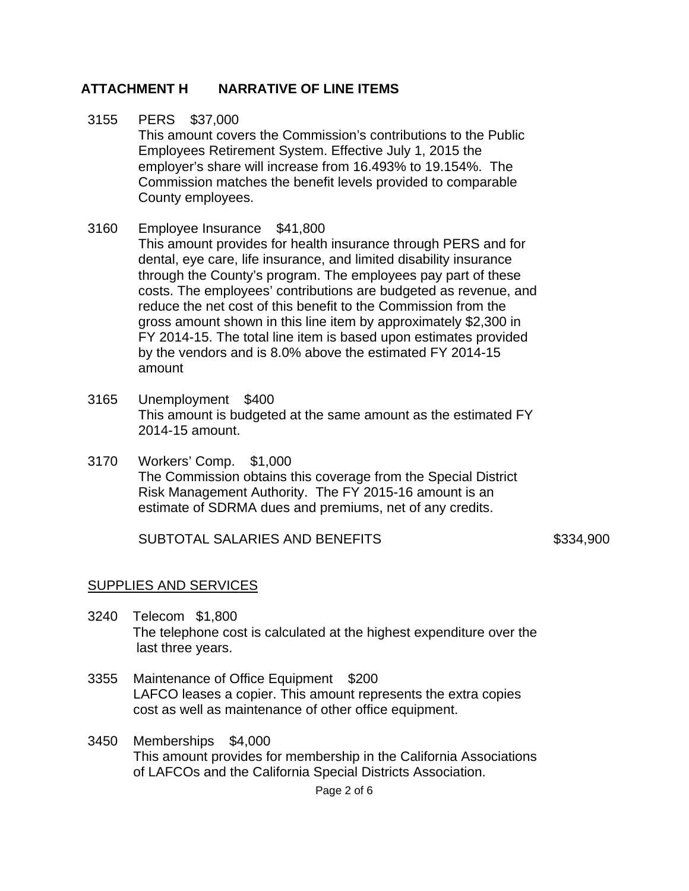- 3155 PERS \$37,000 This amount covers the Commission's contributions to the Public Employees Retirement System. Effective July 1, 2015 the employer's share will increase from 16.493% to 19.154%. The Commission matches the benefit levels provided to comparable County employees.
- 3160 Employee Insurance \$41,800 This amount provides for health insurance through PERS and for dental, eye care, life insurance, and limited disability insurance through the County's program. The employees pay part of these costs. The employees' contributions are budgeted as revenue, and reduce the net cost of this benefit to the Commission from the gross amount shown in this line item by approximately \$2,300 in FY 2014-15. The total line item is based upon estimates provided by the vendors and is 8.0% above the estimated FY 2014-15 amount
- 3165 Unemployment \$400 This amount is budgeted at the same amount as the estimated FY 2014-15 amount.
- 3170 Workers' Comp. \$1,000 The Commission obtains this coverage from the Special District Risk Management Authority. The FY 2015-16 amount is an estimate of SDRMA dues and premiums, net of any credits.

SUBTOTAL SALARIES AND BENEFITS \$334,900

#### SUPPLIES AND SERVICES

- 3240 Telecom \$1,800 The telephone cost is calculated at the highest expenditure over the last three years.
- 3355 Maintenance of Office Equipment \$200 LAFCO leases a copier. This amount represents the extra copies cost as well as maintenance of other office equipment.
- 3450 Memberships \$4,000 This amount provides for membership in the California Associations of LAFCOs and the California Special Districts Association.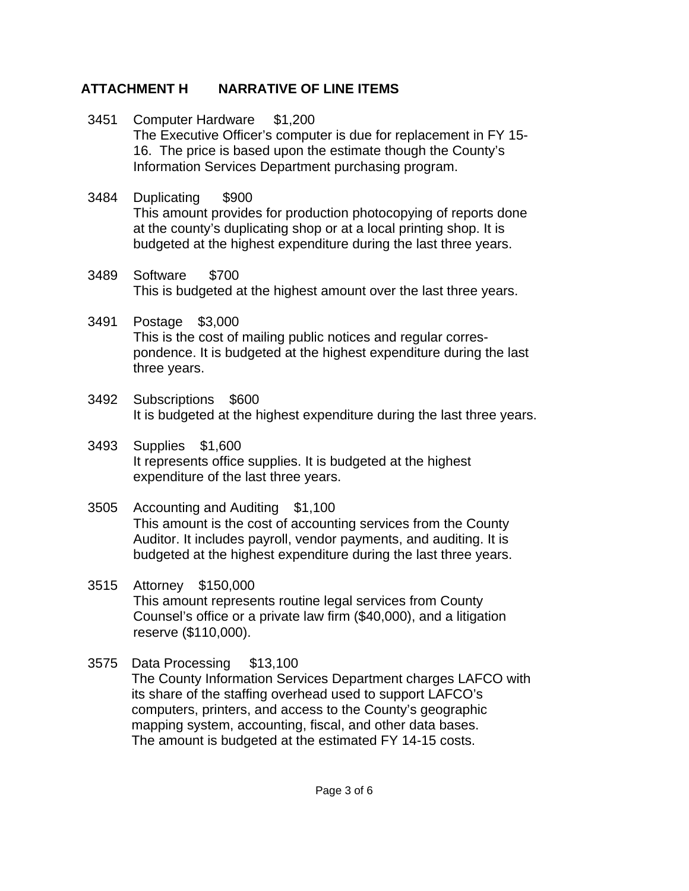- 3451 Computer Hardware \$1,200 The Executive Officer's computer is due for replacement in FY 15- 16. The price is based upon the estimate though the County's Information Services Department purchasing program.
- 3484 Duplicating \$900 This amount provides for production photocopying of reports done at the county's duplicating shop or at a local printing shop. It is budgeted at the highest expenditure during the last three years.
- 3489 Software \$700 This is budgeted at the highest amount over the last three years.
- 3491 Postage \$3,000 This is the cost of mailing public notices and regular correspondence. It is budgeted at the highest expenditure during the last three years.
- 3492 Subscriptions \$600 It is budgeted at the highest expenditure during the last three years.
- 3493 Supplies \$1,600 It represents office supplies. It is budgeted at the highest expenditure of the last three years.
- 3505 Accounting and Auditing \$1,100 This amount is the cost of accounting services from the County Auditor. It includes payroll, vendor payments, and auditing. It is budgeted at the highest expenditure during the last three years.
- 3515 Attorney \$150,000 This amount represents routine legal services from County Counsel's office or a private law firm (\$40,000), and a litigation reserve (\$110,000).
- 3575 Data Processing \$13,100 The County Information Services Department charges LAFCO with its share of the staffing overhead used to support LAFCO's computers, printers, and access to the County's geographic mapping system, accounting, fiscal, and other data bases. The amount is budgeted at the estimated FY 14-15 costs.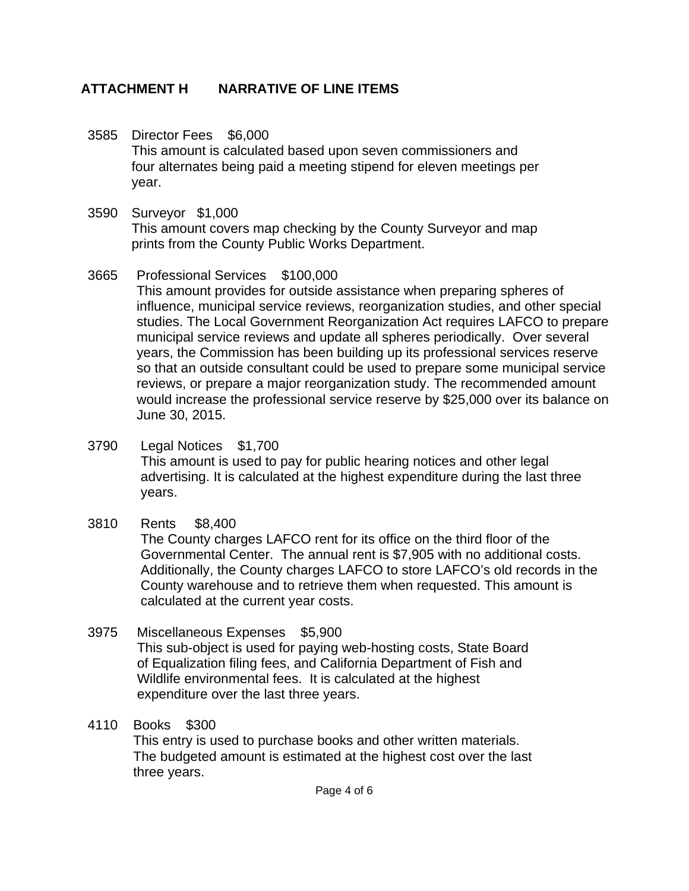- 3585 Director Fees \$6,000 This amount is calculated based upon seven commissioners and four alternates being paid a meeting stipend for eleven meetings per year.
- 3590 Surveyor \$1,000 This amount covers map checking by the County Surveyor and map prints from the County Public Works Department.
- 3665 Professional Services \$100,000 This amount provides for outside assistance when preparing spheres of influence, municipal service reviews, reorganization studies, and other special studies. The Local Government Reorganization Act requires LAFCO to prepare municipal service reviews and update all spheres periodically. Over several years, the Commission has been building up its professional services reserve so that an outside consultant could be used to prepare some municipal service reviews, or prepare a major reorganization study. The recommended amount would increase the professional service reserve by \$25,000 over its balance on June 30, 2015.
- 3790 Legal Notices \$1,700 This amount is used to pay for public hearing notices and other legal advertising. It is calculated at the highest expenditure during the last three years.
- 3810 Rents \$8,400

The County charges LAFCO rent for its office on the third floor of the Governmental Center. The annual rent is \$7,905 with no additional costs. Additionally, the County charges LAFCO to store LAFCO's old records in the County warehouse and to retrieve them when requested. This amount is calculated at the current year costs.

- 3975 Miscellaneous Expenses \$5,900 This sub-object is used for paying web-hosting costs, State Board of Equalization filing fees, and California Department of Fish and Wildlife environmental fees. It is calculated at the highest expenditure over the last three years.
- 4110 Books \$300

This entry is used to purchase books and other written materials. The budgeted amount is estimated at the highest cost over the last three years.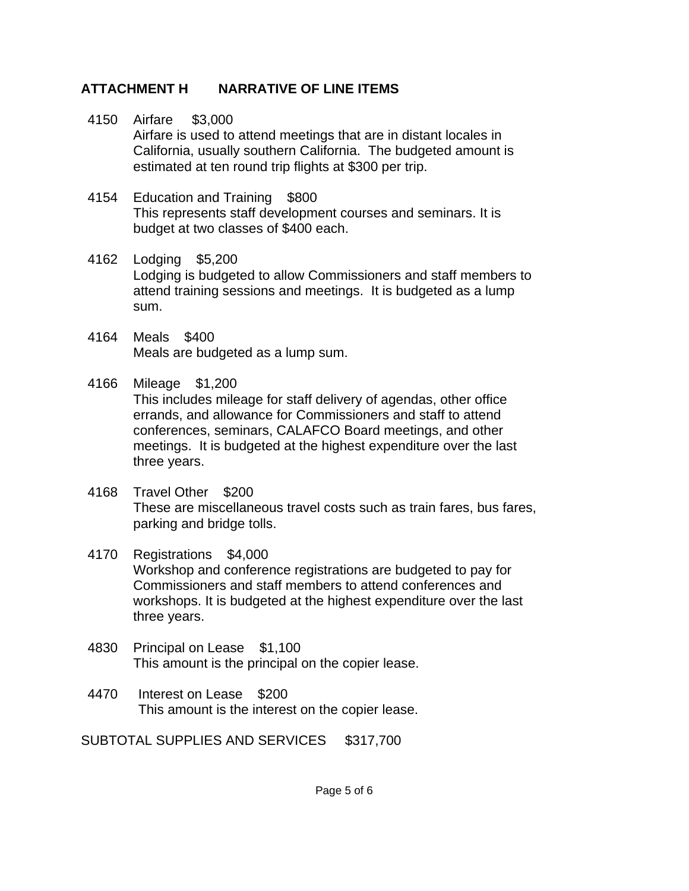- 4150 Airfare \$3,000 Airfare is used to attend meetings that are in distant locales in California, usually southern California. The budgeted amount is estimated at ten round trip flights at \$300 per trip.
- 4154 Education and Training \$800 This represents staff development courses and seminars. It is budget at two classes of \$400 each.
- 4162 Lodging \$5,200 Lodging is budgeted to allow Commissioners and staff members to attend training sessions and meetings. It is budgeted as a lump sum.
- 4164 Meals \$400 Meals are budgeted as a lump sum.
- 4166 Mileage \$1,200

This includes mileage for staff delivery of agendas, other office errands, and allowance for Commissioners and staff to attend conferences, seminars, CALAFCO Board meetings, and other meetings. It is budgeted at the highest expenditure over the last three years.

- 4168 Travel Other \$200 These are miscellaneous travel costs such as train fares, bus fares, parking and bridge tolls.
- 4170 Registrations \$4,000 Workshop and conference registrations are budgeted to pay for Commissioners and staff members to attend conferences and workshops. It is budgeted at the highest expenditure over the last three years.
- 4830 Principal on Lease \$1,100 This amount is the principal on the copier lease.
- 4470 Interest on Lease \$200 This amount is the interest on the copier lease.

SUBTOTAL SUPPLIES AND SERVICES \$317,700